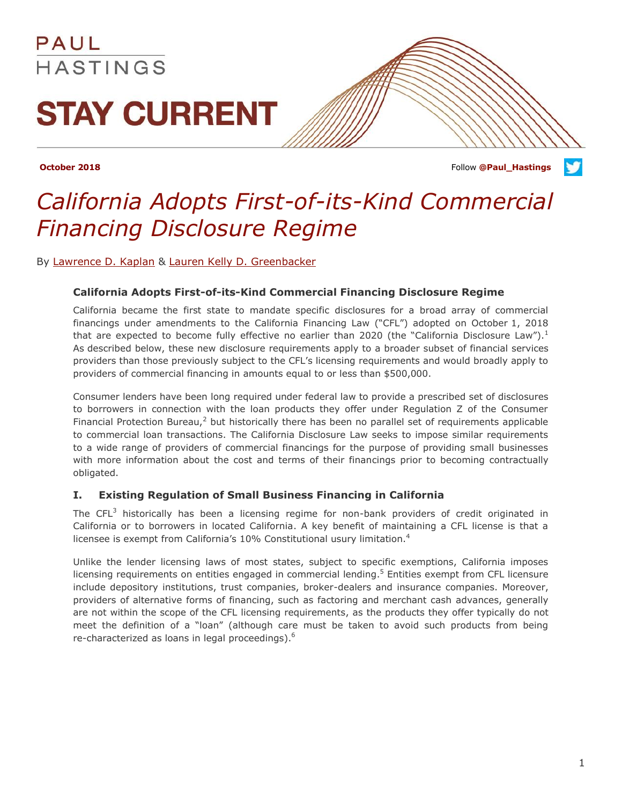

**October 2018 Follow [@Paul\\_Hastings](http://twitter.com/Paul_Hastings) Contained Activities Follow @Paul\_Hastings** 

### *California Adopts First-of-its-Kind Commercial Financing Disclosure Regime*

By [Lawrence D. Kaplan](http://www.paulhastings.com/professionals/details/lawrencekaplan) & [Lauren Kelly D. Greenbacker](http://www.paulhastings.com/professionals/details/laurenkellygreenbacker)

### **California Adopts First-of-its-Kind Commercial Financing Disclosure Regime**

California became the first state to mandate specific disclosures for a broad array of commercial financings under amendments to the California Financing Law ("CFL") adopted on October 1, 2018 that are expected to become fully effective no earlier than 2020 (the "California Disclosure Law").<sup>1</sup> As described below, these new disclosure requirements apply to a broader subset of financial services providers than those previously subject to the CFL's licensing requirements and would broadly apply to providers of commercial financing in amounts equal to or less than \$500,000.

Consumer lenders have been long required under federal law to provide a prescribed set of disclosures to borrowers in connection with the loan products they offer under Regulation Z of the Consumer Financial Protection Bureau, $<sup>2</sup>$  but historically there has been no parallel set of requirements applicable</sup> to commercial loan transactions. The California Disclosure Law seeks to impose similar requirements to a wide range of providers of commercial financings for the purpose of providing small businesses with more information about the cost and terms of their financings prior to becoming contractually obligated.

### **I. Existing Regulation of Small Business Financing in California**

The  $CFL<sup>3</sup>$  historically has been a licensing regime for non-bank providers of credit originated in California or to borrowers in located California. A key benefit of maintaining a CFL license is that a licensee is exempt from California's 10% Constitutional usury limitation.<sup>4</sup>

Unlike the lender licensing laws of most states, subject to specific exemptions, California imposes licensing requirements on entities engaged in commercial lending.<sup>5</sup> Entities exempt from CFL licensure include depository institutions, trust companies, broker-dealers and insurance companies. Moreover, providers of alternative forms of financing, such as factoring and merchant cash advances, generally are not within the scope of the CFL licensing requirements, as the products they offer typically do not meet the definition of a "loan" (although care must be taken to avoid such products from being re-characterized as loans in legal proceedings).<sup>6</sup>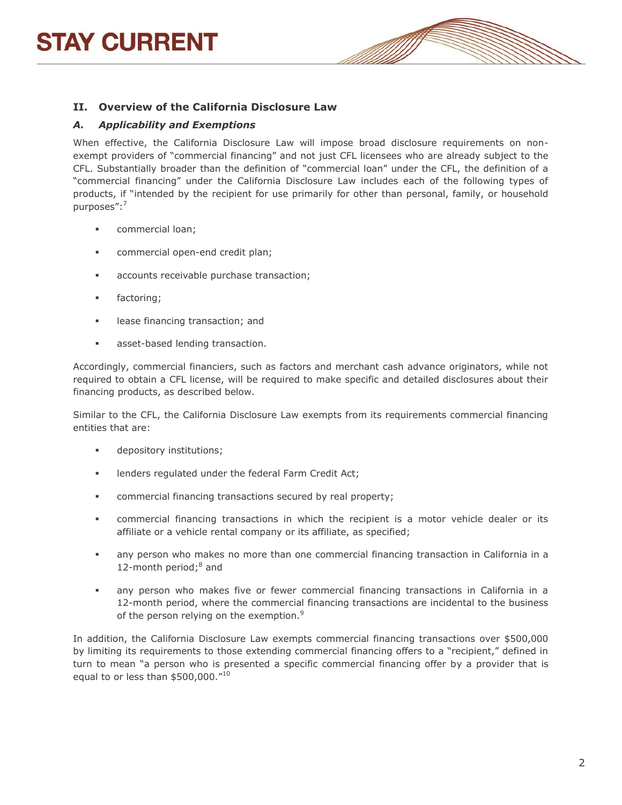## **STAY CURRENT**



### **II. Overview of the California Disclosure Law**

### *A. Applicability and Exemptions*

When effective, the California Disclosure Law will impose broad disclosure requirements on nonexempt providers of "commercial financing" and not just CFL licensees who are already subject to the CFL. Substantially broader than the definition of "commercial loan" under the CFL, the definition of a "commercial financing" under the California Disclosure Law includes each of the following types of products, if "intended by the recipient for use primarily for other than personal, family, or household purposes":<sup>7</sup>

- **commercial loan;**
- **COMMERGIE OPEN-END COMMERGIES**
- accounts receivable purchase transaction;
- **factoring**;
- **Example 1** lease financing transaction; and
- **asset-based lending transaction.**

Accordingly, commercial financiers, such as factors and merchant cash advance originators, while not required to obtain a CFL license, will be required to make specific and detailed disclosures about their financing products, as described below.

Similar to the CFL, the California Disclosure Law exempts from its requirements commercial financing entities that are:

- **depository institutions;**
- lenders regulated under the federal Farm Credit Act;
- commercial financing transactions secured by real property;
- commercial financing transactions in which the recipient is a motor vehicle dealer or its affiliate or a vehicle rental company or its affiliate, as specified;
- any person who makes no more than one commercial financing transaction in California in a 12-month period; $8$  and
- any person who makes five or fewer commercial financing transactions in California in a 12-month period, where the commercial financing transactions are incidental to the business of the person relying on the exemption.<sup>9</sup>

In addition, the California Disclosure Law exempts commercial financing transactions over \$500,000 by limiting its requirements to those extending commercial financing offers to a "recipient," defined in turn to mean "a person who is presented a specific commercial financing offer by a provider that is equal to or less than \$500,000."<sup>10</sup>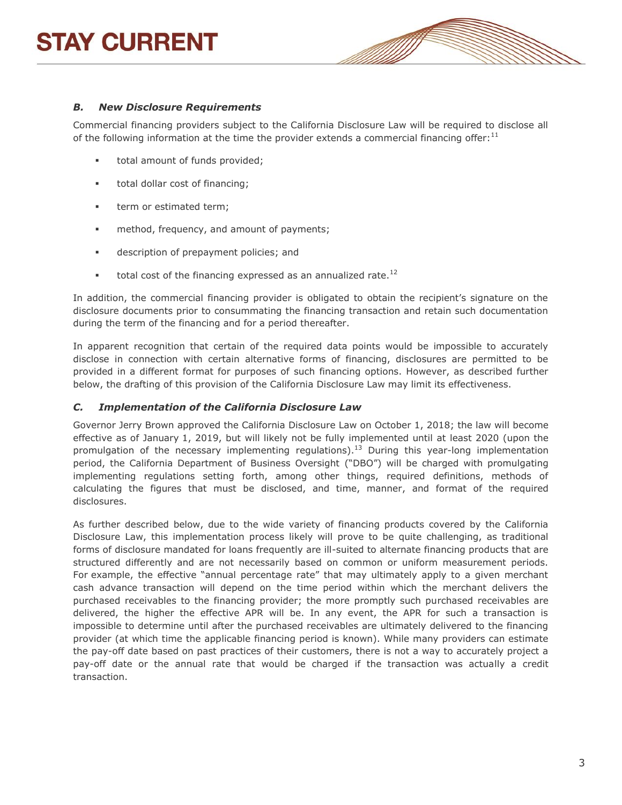# **STAY CURRENT**



### *B. New Disclosure Requirements*

Commercial financing providers subject to the California Disclosure Law will be required to disclose all of the following information at the time the provider extends a commercial financing offer:<sup>11</sup>

- total amount of funds provided;
- total dollar cost of financing;
- **term or estimated term;**
- **method, frequency, and amount of payments;**
- **description of prepayment policies; and**
- total cost of the financing expressed as an annualized rate.<sup>12</sup>

In addition, the commercial financing provider is obligated to obtain the recipient's signature on the disclosure documents prior to consummating the financing transaction and retain such documentation during the term of the financing and for a period thereafter.

In apparent recognition that certain of the required data points would be impossible to accurately disclose in connection with certain alternative forms of financing, disclosures are permitted to be provided in a different format for purposes of such financing options. However, as described further below, the drafting of this provision of the California Disclosure Law may limit its effectiveness.

#### *C. Implementation of the California Disclosure Law*

Governor Jerry Brown approved the California Disclosure Law on October 1, 2018; the law will become effective as of January 1, 2019, but will likely not be fully implemented until at least 2020 (upon the promulgation of the necessary implementing regulations).<sup>13</sup> During this year-long implementation period, the California Department of Business Oversight ("DBO") will be charged with promulgating implementing regulations setting forth, among other things, required definitions, methods of calculating the figures that must be disclosed, and time, manner, and format of the required disclosures.

As further described below, due to the wide variety of financing products covered by the California Disclosure Law, this implementation process likely will prove to be quite challenging, as traditional forms of disclosure mandated for loans frequently are ill-suited to alternate financing products that are structured differently and are not necessarily based on common or uniform measurement periods. For example, the effective "annual percentage rate" that may ultimately apply to a given merchant cash advance transaction will depend on the time period within which the merchant delivers the purchased receivables to the financing provider; the more promptly such purchased receivables are delivered, the higher the effective APR will be. In any event, the APR for such a transaction is impossible to determine until after the purchased receivables are ultimately delivered to the financing provider (at which time the applicable financing period is known). While many providers can estimate the pay-off date based on past practices of their customers, there is not a way to accurately project a pay-off date or the annual rate that would be charged if the transaction was actually a credit transaction.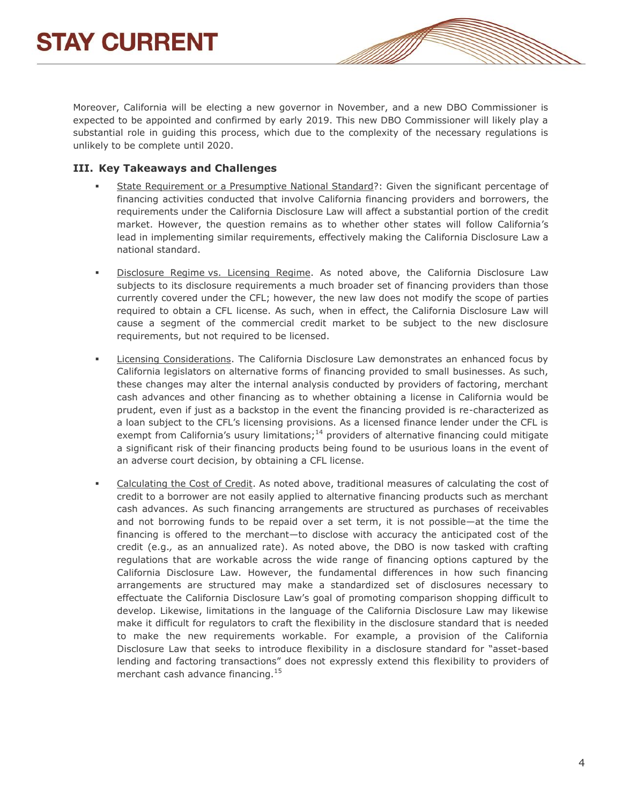Moreover, California will be electing a new governor in November, and a new DBO Commissioner is expected to be appointed and confirmed by early 2019. This new DBO Commissioner will likely play a substantial role in guiding this process, which due to the complexity of the necessary regulations is unlikely to be complete until 2020.

### **III. Key Takeaways and Challenges**

- State Requirement or a Presumptive National Standard?: Given the significant percentage of financing activities conducted that involve California financing providers and borrowers, the requirements under the California Disclosure Law will affect a substantial portion of the credit market. However, the question remains as to whether other states will follow California's lead in implementing similar requirements, effectively making the California Disclosure Law a national standard.
- Disclosure Regime vs. Licensing Regime. As noted above, the California Disclosure Law subjects to its disclosure requirements a much broader set of financing providers than those currently covered under the CFL; however, the new law does not modify the scope of parties required to obtain a CFL license. As such, when in effect, the California Disclosure Law will cause a segment of the commercial credit market to be subject to the new disclosure requirements, but not required to be licensed.
- Licensing Considerations. The California Disclosure Law demonstrates an enhanced focus by California legislators on alternative forms of financing provided to small businesses. As such, these changes may alter the internal analysis conducted by providers of factoring, merchant cash advances and other financing as to whether obtaining a license in California would be prudent, even if just as a backstop in the event the financing provided is re-characterized as a loan subject to the CFL's licensing provisions. As a licensed finance lender under the CFL is exempt from California's usury limitations;<sup>14</sup> providers of alternative financing could mitigate a significant risk of their financing products being found to be usurious loans in the event of an adverse court decision, by obtaining a CFL license.
- Calculating the Cost of Credit. As noted above, traditional measures of calculating the cost of credit to a borrower are not easily applied to alternative financing products such as merchant cash advances. As such financing arrangements are structured as purchases of receivables and not borrowing funds to be repaid over a set term, it is not possible—at the time the financing is offered to the merchant—to disclose with accuracy the anticipated cost of the credit (e.g.*,* as an annualized rate). As noted above, the DBO is now tasked with crafting regulations that are workable across the wide range of financing options captured by the California Disclosure Law. However, the fundamental differences in how such financing arrangements are structured may make a standardized set of disclosures necessary to effectuate the California Disclosure Law's goal of promoting comparison shopping difficult to develop. Likewise, limitations in the language of the California Disclosure Law may likewise make it difficult for regulators to craft the flexibility in the disclosure standard that is needed to make the new requirements workable. For example, a provision of the California Disclosure Law that seeks to introduce flexibility in a disclosure standard for "asset-based lending and factoring transactions" does not expressly extend this flexibility to providers of merchant cash advance financing.<sup>15</sup>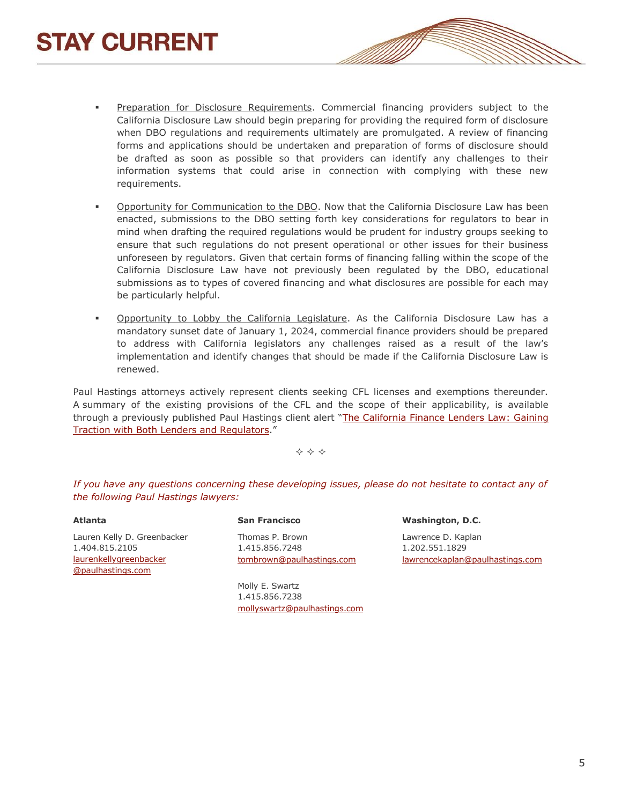- Preparation for Disclosure Requirements. Commercial financing providers subject to the California Disclosure Law should begin preparing for providing the required form of disclosure when DBO regulations and requirements ultimately are promulgated. A review of financing forms and applications should be undertaken and preparation of forms of disclosure should be drafted as soon as possible so that providers can identify any challenges to their information systems that could arise in connection with complying with these new requirements.
- Opportunity for Communication to the DBO. Now that the California Disclosure Law has been enacted, submissions to the DBO setting forth key considerations for regulators to bear in mind when drafting the required regulations would be prudent for industry groups seeking to ensure that such regulations do not present operational or other issues for their business unforeseen by regulators. Given that certain forms of financing falling within the scope of the California Disclosure Law have not previously been regulated by the DBO, educational submissions as to types of covered financing and what disclosures are possible for each may be particularly helpful.
- **Opportunity to Lobby the California Legislature.** As the California Disclosure Law has a mandatory sunset date of January 1, 2024, commercial finance providers should be prepared to address with California legislators any challenges raised as a result of the law's implementation and identify changes that should be made if the California Disclosure Law is renewed.

Paul Hastings attorneys actively represent clients seeking CFL licenses and exemptions thereunder. A summary of the existing provisions of the CFL and the scope of their applicability, is available through a previously published Paul Hastings client alert "The California Finance Lenders Law: Gaining [Traction with Both Lenders and Regulators](http://www.paulhastings.com/publication-items/details/?id=e867e669-2334-6428-811c-ff00004cbded#_edn30)."

 $\Leftrightarrow$   $\Leftrightarrow$   $\Leftrightarrow$ 

*If you have any questions concerning these developing issues, please do not hesitate to contact any of the following Paul Hastings lawyers:*

**Atlanta** Lauren Kelly D. Greenbacker 1.404.815.2105 [laurenkellygreenbacker](mailto:laurenkellygreenbacker@paulhastings.com) [@paulhastings.com](mailto:laurenkellygreenbacker@paulhastings.com)

**San Francisco** Thomas P. Brown 1.415.856.7248 [tombrown@paulhastings.com](mailto:tombrown@paulhastings.com)

Molly E. Swartz 1.415.856.7238 [mollyswartz@paulhastings.com](mailto:mollyswartz@paulhastings.com)

**Washington, D.C.** Lawrence D. Kaplan 1.202.551.1829 [lawrencekaplan@paulhastings.com](mailto:lawrencekaplan@paulhastings.com)